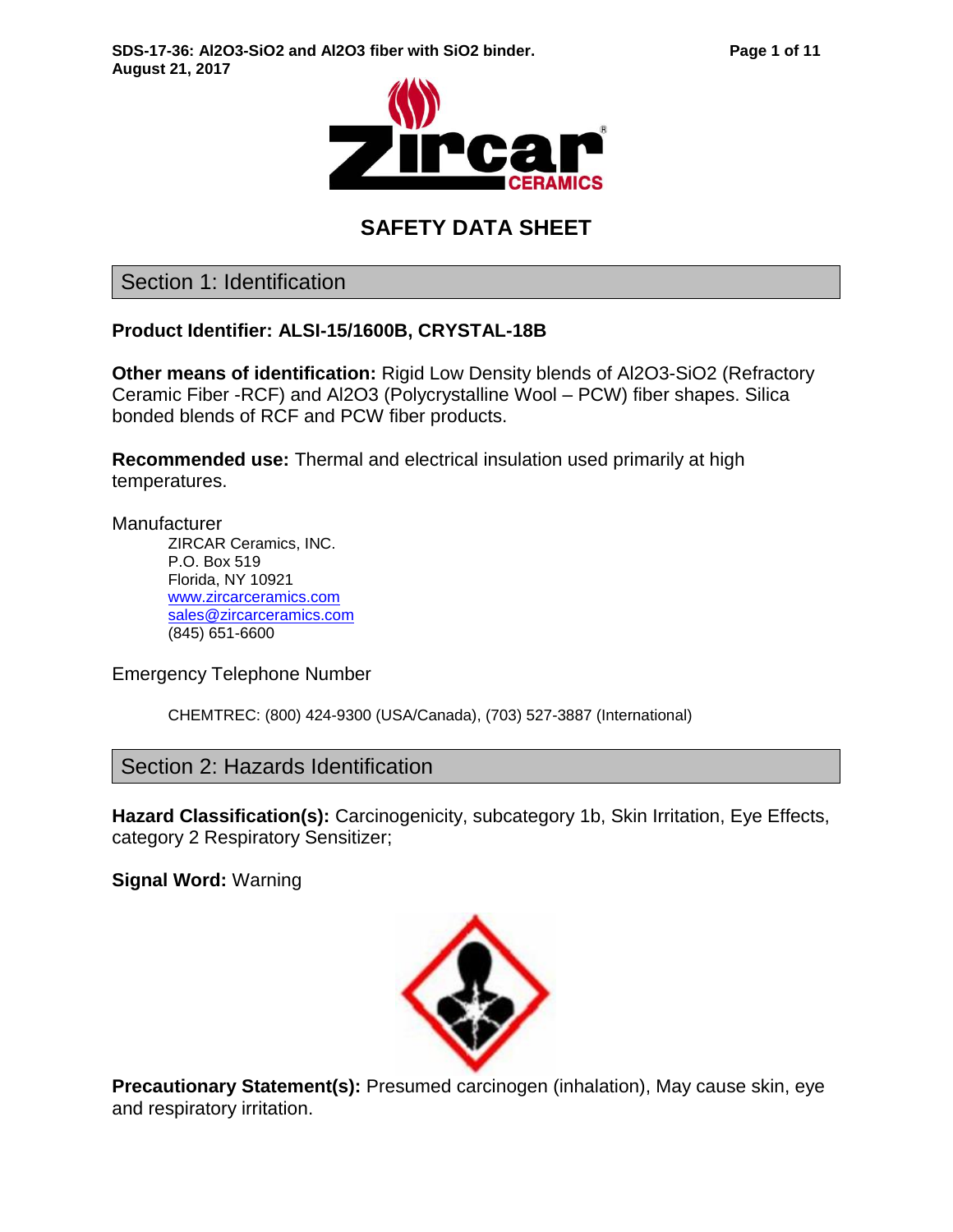

# **SAFETY DATA SHEET**

Section 1: Identification

#### **Product Identifier: ALSI-15/1600B, CRYSTAL-18B**

**Other means of identification:** Rigid Low Density blends of Al2O3-SiO2 (Refractory Ceramic Fiber -RCF) and Al2O3 (Polycrystalline Wool – PCW) fiber shapes. Silica bonded blends of RCF and PCW fiber products.

**Recommended use:** Thermal and electrical insulation used primarily at high temperatures.

**Manufacturer** 

ZIRCAR Ceramics, INC. P.O. Box 519 Florida, NY 10921 [www.zircarceramics.com](http://www.zircarceramics.com/) [sales@zircarceramics.com](mailto:sales@zircarceramics.com) (845) 651-6600

Emergency Telephone Number

CHEMTREC: (800) 424-9300 (USA/Canada), (703) 527-3887 (International)

Section 2: Hazards Identification

**Hazard Classification(s):** Carcinogenicity, subcategory 1b, Skin Irritation, Eye Effects, category 2 Respiratory Sensitizer;

**Signal Word:** Warning



**Precautionary Statement(s):** Presumed carcinogen (inhalation), May cause skin, eye and respiratory irritation.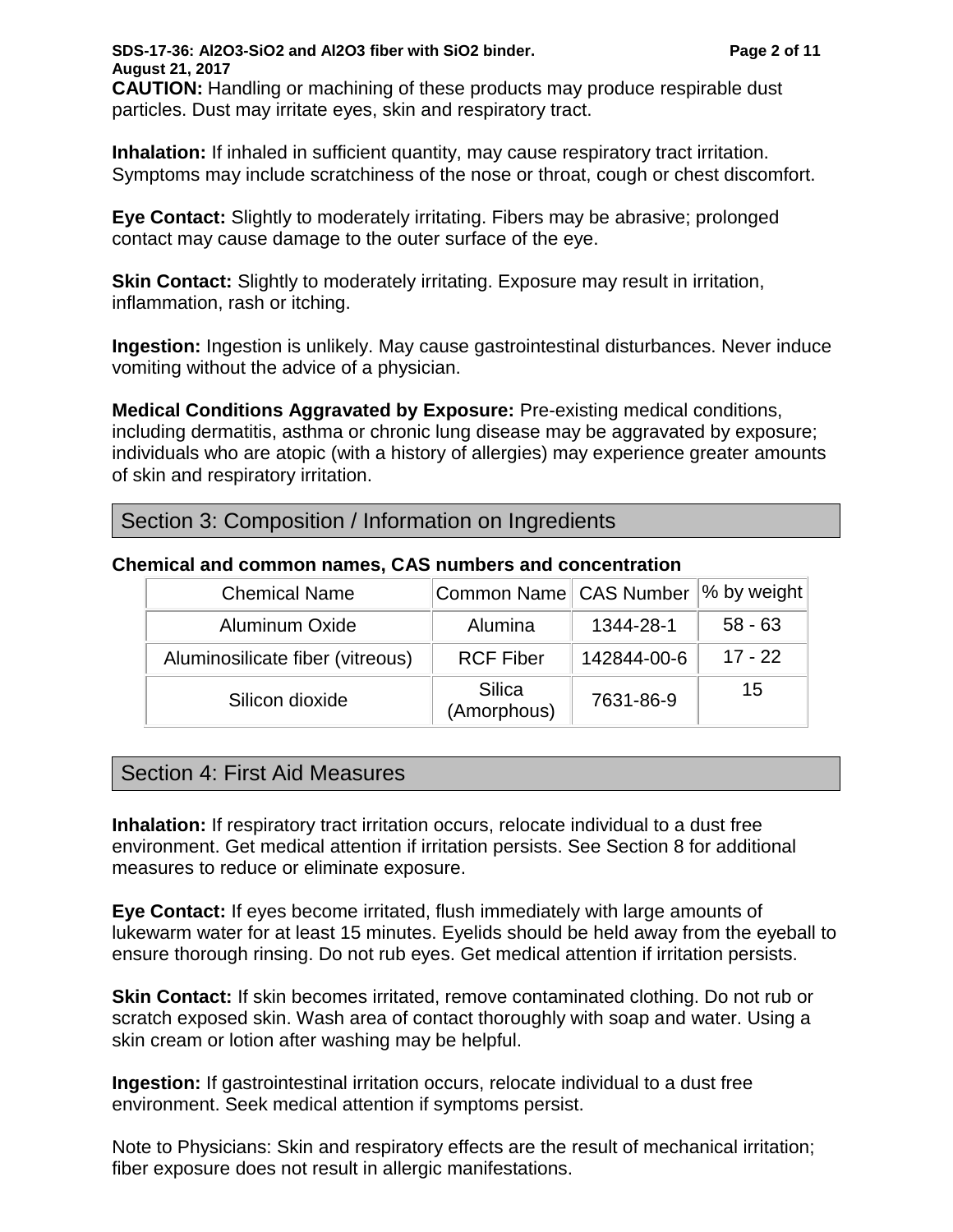**SDS-17-36: Al2O3-SiO2 and Al2O3 fiber with SiO2 binder. Page 2 of 11 August 21, 2017 CAUTION:** Handling or machining of these products may produce respirable dust particles. Dust may irritate eyes, skin and respiratory tract.

**Inhalation:** If inhaled in sufficient quantity, may cause respiratory tract irritation. Symptoms may include scratchiness of the nose or throat, cough or chest discomfort.

**Eye Contact:** Slightly to moderately irritating. Fibers may be abrasive; prolonged contact may cause damage to the outer surface of the eye.

**Skin Contact:** Slightly to moderately irritating. Exposure may result in irritation, inflammation, rash or itching.

**Ingestion:** Ingestion is unlikely. May cause gastrointestinal disturbances. Never induce vomiting without the advice of a physician.

**Medical Conditions Aggravated by Exposure:** Pre-existing medical conditions, including dermatitis, asthma or chronic lung disease may be aggravated by exposure; individuals who are atopic (with a history of allergies) may experience greater amounts of skin and respiratory irritation.

#### Section 3: Composition / Information on Ingredients

| <b>Chemical Name</b>             | Common Name   CAS Number  % by weight |             |           |
|----------------------------------|---------------------------------------|-------------|-----------|
| <b>Aluminum Oxide</b>            | Alumina                               | 1344-28-1   | $58 - 63$ |
| Aluminosilicate fiber (vitreous) | <b>RCF Fiber</b>                      | 142844-00-6 | $17 - 22$ |
| Silicon dioxide                  | Silica<br>(Amorphous)                 | 7631-86-9   | 15        |

#### **Chemical and common names, CAS numbers and concentration**

# Section 4: First Aid Measures

**Inhalation:** If respiratory tract irritation occurs, relocate individual to a dust free environment. Get medical attention if irritation persists. See Section 8 for additional measures to reduce or eliminate exposure.

**Eye Contact:** If eyes become irritated, flush immediately with large amounts of lukewarm water for at least 15 minutes. Eyelids should be held away from the eyeball to ensure thorough rinsing. Do not rub eyes. Get medical attention if irritation persists.

**Skin Contact:** If skin becomes irritated, remove contaminated clothing. Do not rub or scratch exposed skin. Wash area of contact thoroughly with soap and water. Using a skin cream or lotion after washing may be helpful.

**Ingestion:** If gastrointestinal irritation occurs, relocate individual to a dust free environment. Seek medical attention if symptoms persist.

Note to Physicians: Skin and respiratory effects are the result of mechanical irritation; fiber exposure does not result in allergic manifestations.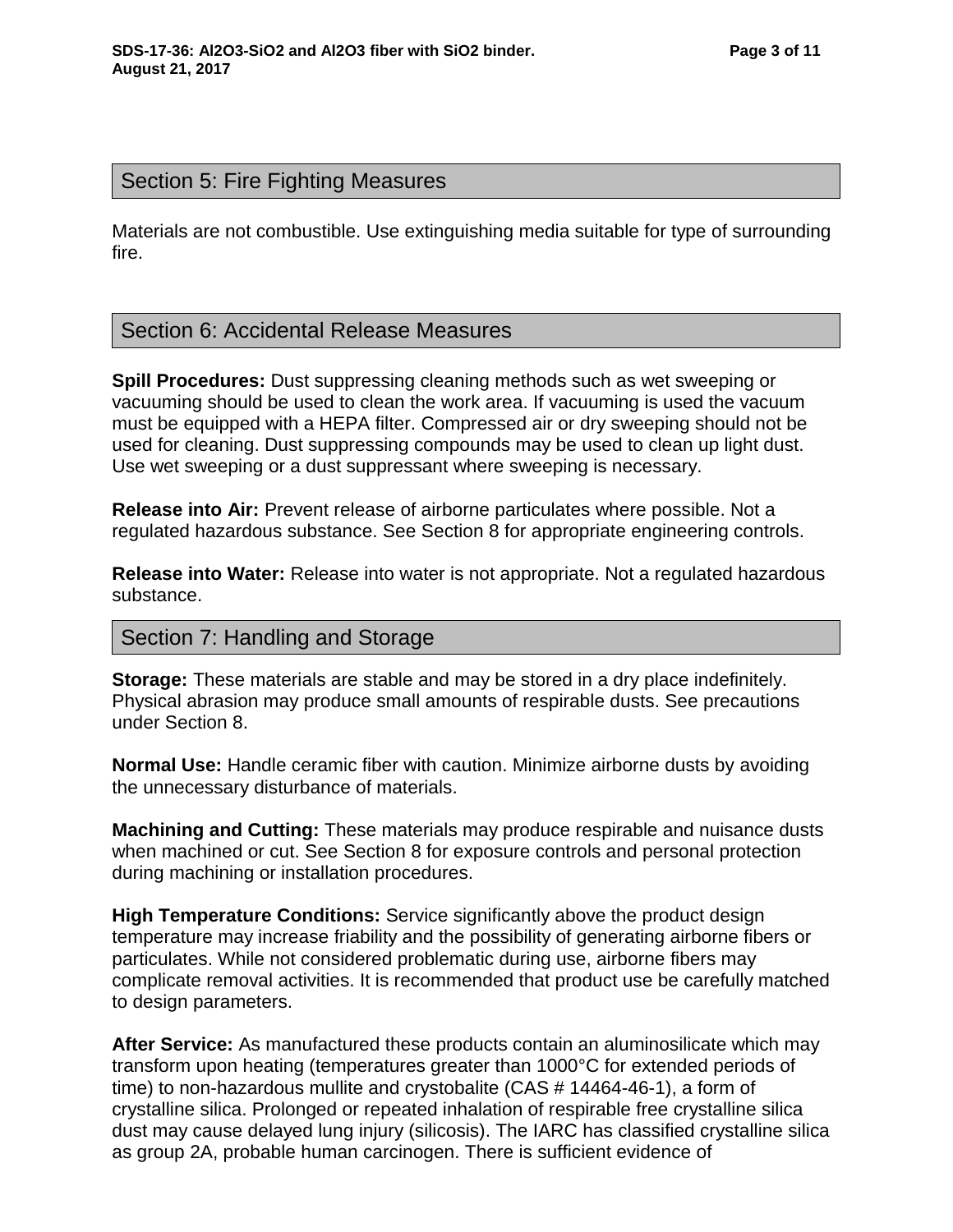# Section 5: Fire Fighting Measures

Materials are not combustible. Use extinguishing media suitable for type of surrounding fire.

# Section 6: Accidental Release Measures

**Spill Procedures:** Dust suppressing cleaning methods such as wet sweeping or vacuuming should be used to clean the work area. If vacuuming is used the vacuum must be equipped with a HEPA filter. Compressed air or dry sweeping should not be used for cleaning. Dust suppressing compounds may be used to clean up light dust. Use wet sweeping or a dust suppressant where sweeping is necessary.

**Release into Air:** Prevent release of airborne particulates where possible. Not a regulated hazardous substance. See Section 8 for appropriate engineering controls.

**Release into Water:** Release into water is not appropriate. Not a regulated hazardous substance.

## Section 7: Handling and Storage

**Storage:** These materials are stable and may be stored in a dry place indefinitely. Physical abrasion may produce small amounts of respirable dusts. See precautions under Section 8.

**Normal Use:** Handle ceramic fiber with caution. Minimize airborne dusts by avoiding the unnecessary disturbance of materials.

**Machining and Cutting:** These materials may produce respirable and nuisance dusts when machined or cut. See Section 8 for exposure controls and personal protection during machining or installation procedures.

**High Temperature Conditions:** Service significantly above the product design temperature may increase friability and the possibility of generating airborne fibers or particulates. While not considered problematic during use, airborne fibers may complicate removal activities. It is recommended that product use be carefully matched to design parameters.

**After Service:** As manufactured these products contain an aluminosilicate which may transform upon heating (temperatures greater than 1000°C for extended periods of time) to non-hazardous mullite and crystobalite (CAS # 14464-46-1), a form of crystalline silica. Prolonged or repeated inhalation of respirable free crystalline silica dust may cause delayed lung injury (silicosis). The IARC has classified crystalline silica as group 2A, probable human carcinogen. There is sufficient evidence of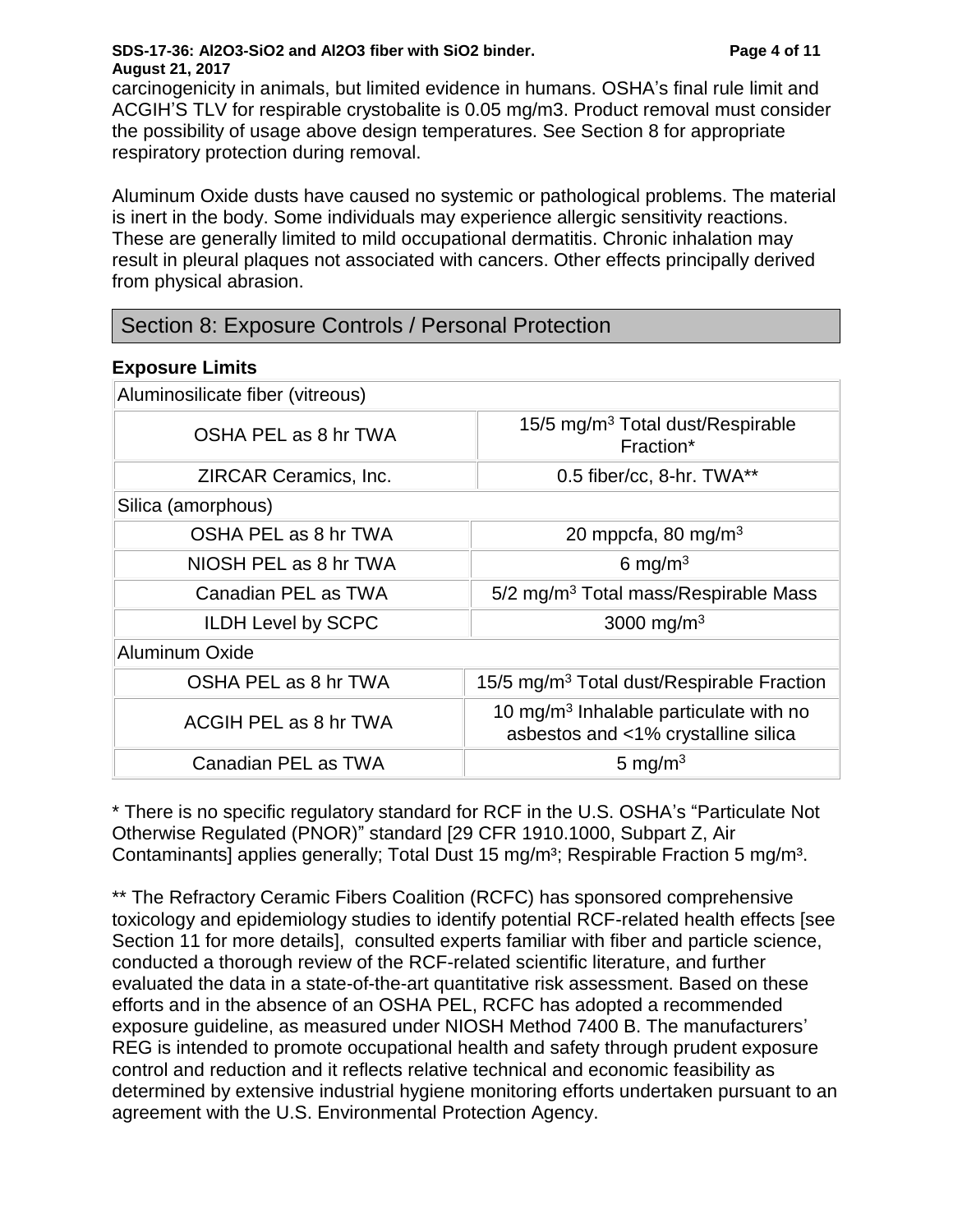#### **SDS-17-36: Al2O3-SiO2 and Al2O3 fiber with SiO2 binder. Page 4 of 11 August 21, 2017**

carcinogenicity in animals, but limited evidence in humans. OSHA's final rule limit and ACGIH'S TLV for respirable crystobalite is 0.05 mg/m3. Product removal must consider the possibility of usage above design temperatures. See Section 8 for appropriate respiratory protection during removal.

Aluminum Oxide dusts have caused no systemic or pathological problems. The material is inert in the body. Some individuals may experience allergic sensitivity reactions. These are generally limited to mild occupational dermatitis. Chronic inhalation may result in pleural plaques not associated with cancers. Other effects principally derived from physical abrasion.

# Section 8: Exposure Controls / Personal Protection

#### **Exposure Limits**

| Aluminosilicate fiber (vitreous) |                                                                                           |
|----------------------------------|-------------------------------------------------------------------------------------------|
| OSHA PEL as 8 hr TWA             | 15/5 mg/m <sup>3</sup> Total dust/Respirable<br>Fraction*                                 |
| ZIRCAR Ceramics, Inc.            | 0.5 fiber/cc, 8-hr. TWA**                                                                 |
| Silica (amorphous)               |                                                                                           |
| OSHA PEL as 8 hr TWA             | 20 mppcfa, 80 mg/m <sup>3</sup>                                                           |
| NIOSH PEL as 8 hr TWA            | 6 mg/m <sup>3</sup>                                                                       |
| Canadian PEL as TWA              | 5/2 mg/m <sup>3</sup> Total mass/Respirable Mass                                          |
| <b>ILDH Level by SCPC</b>        | 3000 mg/m <sup>3</sup>                                                                    |
| <b>Aluminum Oxide</b>            |                                                                                           |
| OSHA PEL as 8 hr TWA             | 15/5 mg/m <sup>3</sup> Total dust/Respirable Fraction                                     |
| ACGIH PEL as 8 hr TWA            | 10 mg/m <sup>3</sup> Inhalable particulate with no<br>asbestos and <1% crystalline silica |
| Canadian PEL as TWA              | 5 mg/m $3$                                                                                |

\* There is no specific regulatory standard for RCF in the U.S. OSHA's "Particulate Not Otherwise Regulated (PNOR)" standard [29 CFR 1910.1000, Subpart Z, Air Contaminants] applies generally; Total Dust 15 mg/m<sup>3</sup>; Respirable Fraction 5 mg/m<sup>3</sup>.

\*\* The Refractory Ceramic Fibers Coalition (RCFC) has sponsored comprehensive toxicology and epidemiology studies to identify potential RCF-related health effects [see Section 11 for more details], consulted experts familiar with fiber and particle science, conducted a thorough review of the RCF-related scientific literature, and further evaluated the data in a state-of-the-art quantitative risk assessment. Based on these efforts and in the absence of an OSHA PEL, RCFC has adopted a recommended exposure guideline, as measured under NIOSH Method 7400 B. The manufacturers' REG is intended to promote occupational health and safety through prudent exposure control and reduction and it reflects relative technical and economic feasibility as determined by extensive industrial hygiene monitoring efforts undertaken pursuant to an agreement with the U.S. Environmental Protection Agency.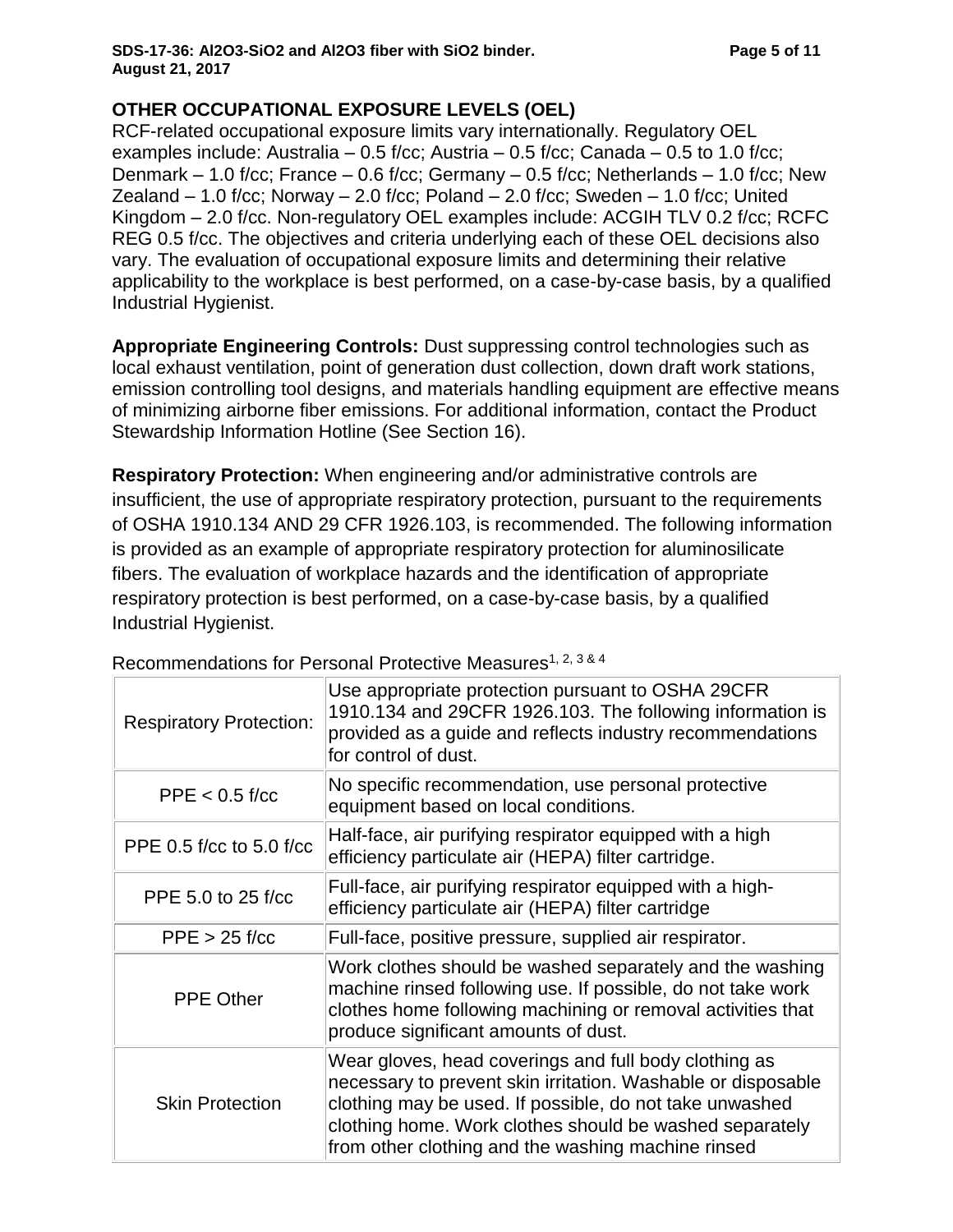#### **SDS-17-36: Al2O3-SiO2 and Al2O3 fiber with SiO2 binder. Page 5 of 11 August 21, 2017**

# **OTHER OCCUPATIONAL EXPOSURE LEVELS (OEL)**

RCF-related occupational exposure limits vary internationally. Regulatory OEL examples include: Australia – 0.5 f/cc; Austria – 0.5 f/cc; Canada – 0.5 to 1.0 f/cc; Denmark  $-$  1.0 f/cc; France  $-$  0.6 f/cc; Germany  $-$  0.5 f/cc; Netherlands  $-$  1.0 f/cc; New Zealand  $-$  1.0 f/cc; Norway  $-$  2.0 f/cc; Poland  $-$  2.0 f/cc; Sweden  $-$  1.0 f/cc; United Kingdom – 2.0 f/cc. Non-regulatory OEL examples include: ACGIH TLV 0.2 f/cc; RCFC REG 0.5 f/cc. The objectives and criteria underlying each of these OEL decisions also vary. The evaluation of occupational exposure limits and determining their relative applicability to the workplace is best performed, on a case-by-case basis, by a qualified Industrial Hygienist.

**Appropriate Engineering Controls:** Dust suppressing control technologies such as local exhaust ventilation, point of generation dust collection, down draft work stations, emission controlling tool designs, and materials handling equipment are effective means of minimizing airborne fiber emissions. For additional information, contact the Product Stewardship Information Hotline (See Section 16).

**Respiratory Protection:** When engineering and/or administrative controls are insufficient, the use of appropriate respiratory protection, pursuant to the requirements of OSHA 1910.134 AND 29 CFR 1926.103, is recommended. The following information is provided as an example of appropriate respiratory protection for aluminosilicate fibers. The evaluation of workplace hazards and the identification of appropriate respiratory protection is best performed, on a case-by-case basis, by a qualified Industrial Hygienist.

| <b>Respiratory Protection:</b> | Use appropriate protection pursuant to OSHA 29CFR<br>1910.134 and 29CFR 1926.103. The following information is<br>provided as a guide and reflects industry recommendations<br>for control of dust.                                                                                               |
|--------------------------------|---------------------------------------------------------------------------------------------------------------------------------------------------------------------------------------------------------------------------------------------------------------------------------------------------|
| $PPE < 0.5$ f/cc               | No specific recommendation, use personal protective<br>equipment based on local conditions.                                                                                                                                                                                                       |
| PPE 0.5 f/cc to 5.0 f/cc       | Half-face, air purifying respirator equipped with a high<br>efficiency particulate air (HEPA) filter cartridge.                                                                                                                                                                                   |
| PPE 5.0 to 25 f/cc             | Full-face, air purifying respirator equipped with a high-<br>efficiency particulate air (HEPA) filter cartridge                                                                                                                                                                                   |
| $PPE > 25$ f/cc                | Full-face, positive pressure, supplied air respirator.                                                                                                                                                                                                                                            |
| <b>PPE Other</b>               | Work clothes should be washed separately and the washing<br>machine rinsed following use. If possible, do not take work<br>clothes home following machining or removal activities that<br>produce significant amounts of dust.                                                                    |
| <b>Skin Protection</b>         | Wear gloves, head coverings and full body clothing as<br>necessary to prevent skin irritation. Washable or disposable<br>clothing may be used. If possible, do not take unwashed<br>clothing home. Work clothes should be washed separately<br>from other clothing and the washing machine rinsed |

Recommendations for Personal Protective Measures1, 2, 3 & 4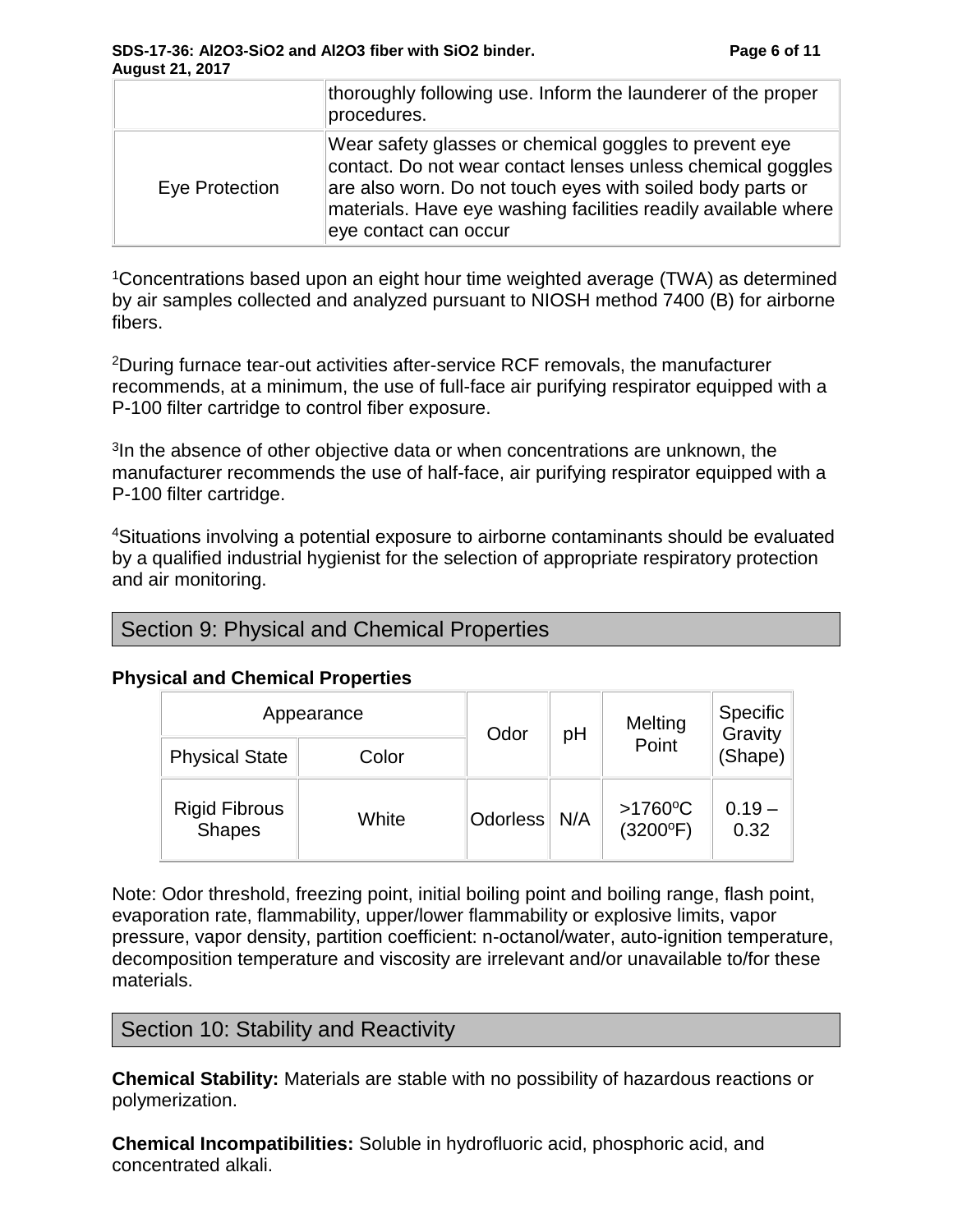|                | thoroughly following use. Inform the launderer of the proper<br>procedures.                                                                                                                                                                                                    |
|----------------|--------------------------------------------------------------------------------------------------------------------------------------------------------------------------------------------------------------------------------------------------------------------------------|
| Eye Protection | Wear safety glasses or chemical goggles to prevent eye<br>contact. Do not wear contact lenses unless chemical goggles<br>are also worn. Do not touch eyes with soiled body parts or<br>materials. Have eye washing facilities readily available where<br>eye contact can occur |

<sup>1</sup>Concentrations based upon an eight hour time weighted average (TWA) as determined by air samples collected and analyzed pursuant to NIOSH method 7400 (B) for airborne fibers.

<sup>2</sup>During furnace tear-out activities after-service RCF removals, the manufacturer recommends, at a minimum, the use of full-face air purifying respirator equipped with a P-100 filter cartridge to control fiber exposure.

<sup>3</sup>In the absence of other objective data or when concentrations are unknown, the manufacturer recommends the use of half-face, air purifying respirator equipped with a P-100 filter cartridge.

<sup>4</sup>Situations involving a potential exposure to airborne contaminants should be evaluated by a qualified industrial hygienist for the selection of appropriate respiratory protection and air monitoring.

|  |  |  |  |  | Section 9: Physical and Chemical Properties |
|--|--|--|--|--|---------------------------------------------|
|--|--|--|--|--|---------------------------------------------|

#### **Physical and Chemical Properties**

| Appearance                            |       | Odor            | pH  | Melting                         | Specific<br>Gravity |
|---------------------------------------|-------|-----------------|-----|---------------------------------|---------------------|
| <b>Physical State</b>                 | Color |                 |     | Point                           | (Shape)             |
| <b>Rigid Fibrous</b><br><b>Shapes</b> | White | <b>Odorless</b> | N/A | $>1760$ °C<br>$(3200^{\circ}F)$ | $0.19 -$<br>0.32    |

Note: Odor threshold, freezing point, initial boiling point and boiling range, flash point, evaporation rate, flammability, upper/lower flammability or explosive limits, vapor pressure, vapor density, partition coefficient: n-octanol/water, auto-ignition temperature, decomposition temperature and viscosity are irrelevant and/or unavailable to/for these materials.

## Section 10: Stability and Reactivity

**Chemical Stability:** Materials are stable with no possibility of hazardous reactions or polymerization.

**Chemical Incompatibilities:** Soluble in hydrofluoric acid, phosphoric acid, and concentrated alkali.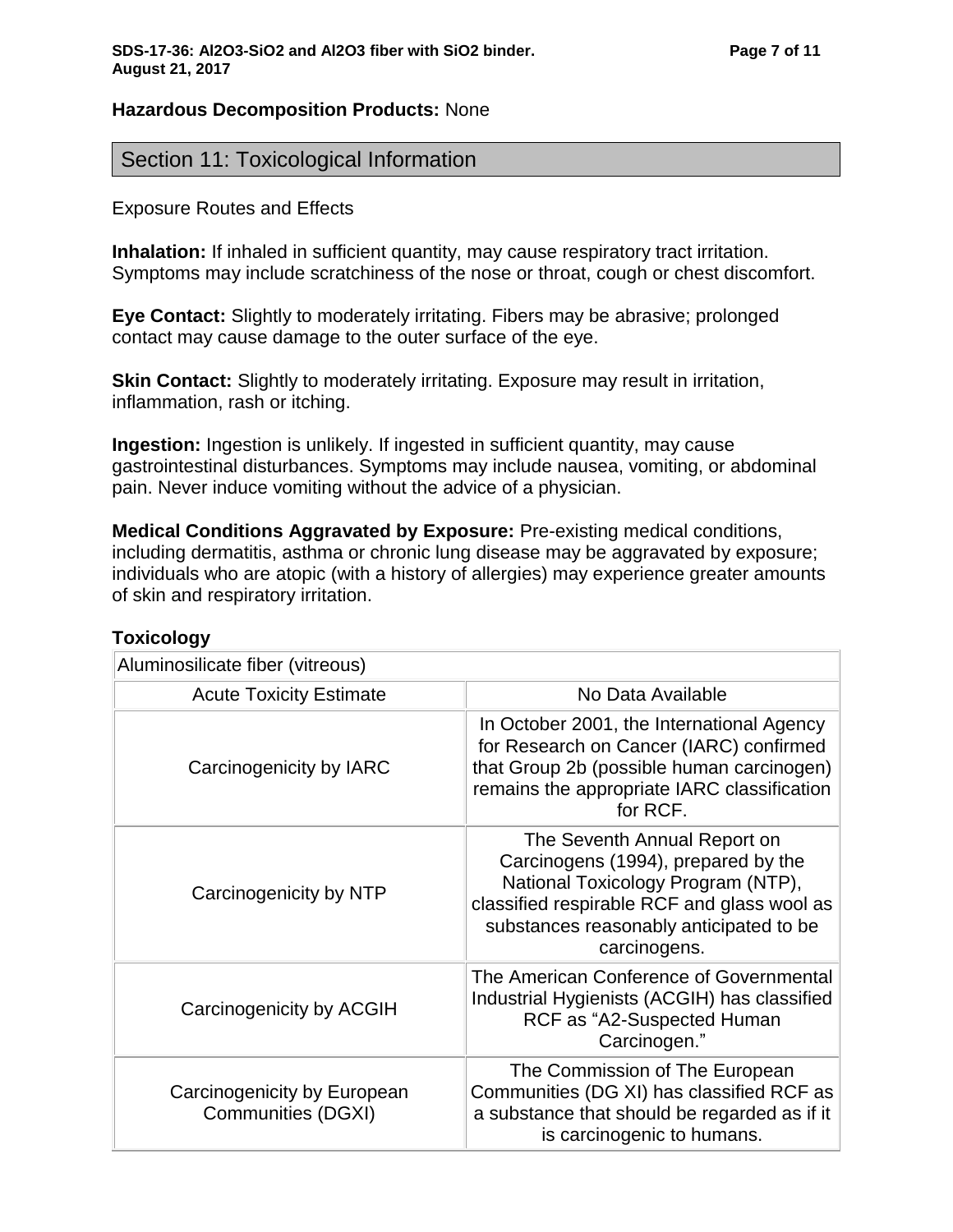## **Hazardous Decomposition Products:** None

# Section 11: Toxicological Information

#### Exposure Routes and Effects

**Inhalation:** If inhaled in sufficient quantity, may cause respiratory tract irritation. Symptoms may include scratchiness of the nose or throat, cough or chest discomfort.

**Eye Contact:** Slightly to moderately irritating. Fibers may be abrasive; prolonged contact may cause damage to the outer surface of the eye.

**Skin Contact:** Slightly to moderately irritating. Exposure may result in irritation, inflammation, rash or itching.

**Ingestion:** Ingestion is unlikely. If ingested in sufficient quantity, may cause gastrointestinal disturbances. Symptoms may include nausea, vomiting, or abdominal pain. Never induce vomiting without the advice of a physician.

**Medical Conditions Aggravated by Exposure:** Pre-existing medical conditions, including dermatitis, asthma or chronic lung disease may be aggravated by exposure; individuals who are atopic (with a history of allergies) may experience greater amounts of skin and respiratory irritation.

| Aluminosilicate fiber (vitreous)                  |                                                                                                                                                                                                                     |
|---------------------------------------------------|---------------------------------------------------------------------------------------------------------------------------------------------------------------------------------------------------------------------|
| <b>Acute Toxicity Estimate</b>                    | No Data Available                                                                                                                                                                                                   |
| Carcinogenicity by IARC                           | In October 2001, the International Agency<br>for Research on Cancer (IARC) confirmed<br>that Group 2b (possible human carcinogen)<br>remains the appropriate IARC classification<br>for RCF.                        |
| Carcinogenicity by NTP                            | The Seventh Annual Report on<br>Carcinogens (1994), prepared by the<br>National Toxicology Program (NTP),<br>classified respirable RCF and glass wool as<br>substances reasonably anticipated to be<br>carcinogens. |
| Carcinogenicity by ACGIH                          | The American Conference of Governmental<br>Industrial Hygienists (ACGIH) has classified<br>RCF as "A2-Suspected Human<br>Carcinogen."                                                                               |
| Carcinogenicity by European<br>Communities (DGXI) | The Commission of The European<br>Communities (DG XI) has classified RCF as<br>a substance that should be regarded as if it<br>is carcinogenic to humans.                                                           |

## **Toxicology**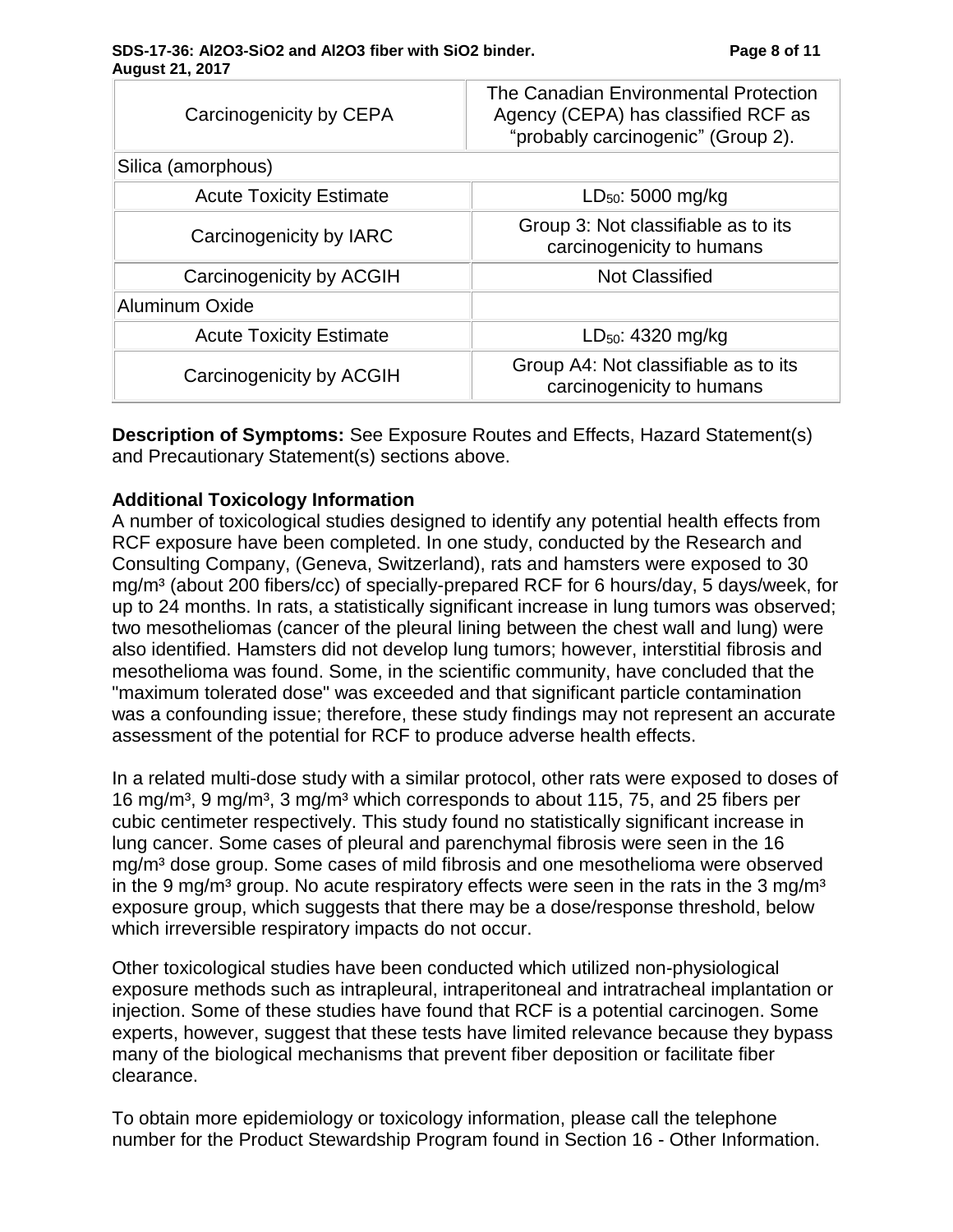#### **SDS-17-36: Al2O3-SiO2 and Al2O3 fiber with SiO2 binder. Page 8 of 11 August 21, 2017**

| The Canadian Environmental Protection<br>Agency (CEPA) has classified RCF as<br>"probably carcinogenic" (Group 2). |
|--------------------------------------------------------------------------------------------------------------------|
|                                                                                                                    |
|                                                                                                                    |
| $LD_{50}$ : 5000 mg/kg                                                                                             |
| Group 3: Not classifiable as to its<br>carcinogenicity to humans                                                   |
| <b>Not Classified</b>                                                                                              |
|                                                                                                                    |
| $LD_{50}$ : 4320 mg/kg                                                                                             |
| Group A4: Not classifiable as to its<br>carcinogenicity to humans                                                  |
|                                                                                                                    |

**Description of Symptoms:** See Exposure Routes and Effects, Hazard Statement(s) and Precautionary Statement(s) sections above.

## **Additional Toxicology Information**

A number of toxicological studies designed to identify any potential health effects from RCF exposure have been completed. In one study, conducted by the Research and Consulting Company, (Geneva, Switzerland), rats and hamsters were exposed to 30 mg/m³ (about 200 fibers/cc) of specially-prepared RCF for 6 hours/day, 5 days/week, for up to 24 months. In rats, a statistically significant increase in lung tumors was observed; two mesotheliomas (cancer of the pleural lining between the chest wall and lung) were also identified. Hamsters did not develop lung tumors; however, interstitial fibrosis and mesothelioma was found. Some, in the scientific community, have concluded that the "maximum tolerated dose" was exceeded and that significant particle contamination was a confounding issue; therefore, these study findings may not represent an accurate assessment of the potential for RCF to produce adverse health effects.

In a related multi-dose study with a similar protocol, other rats were exposed to doses of 16 mg/m<sup>3</sup>, 9 mg/m<sup>3</sup>, 3 mg/m<sup>3</sup> which corresponds to about 115, 75, and 25 fibers per cubic centimeter respectively. This study found no statistically significant increase in lung cancer. Some cases of pleural and parenchymal fibrosis were seen in the 16 mg/m³ dose group. Some cases of mild fibrosis and one mesothelioma were observed in the 9 mg/m<sup>3</sup> group. No acute respiratory effects were seen in the rats in the 3 mg/m<sup>3</sup> exposure group, which suggests that there may be a dose/response threshold, below which irreversible respiratory impacts do not occur.

Other toxicological studies have been conducted which utilized non-physiological exposure methods such as intrapleural, intraperitoneal and intratracheal implantation or injection. Some of these studies have found that RCF is a potential carcinogen. Some experts, however, suggest that these tests have limited relevance because they bypass many of the biological mechanisms that prevent fiber deposition or facilitate fiber clearance.

To obtain more epidemiology or toxicology information, please call the telephone number for the Product Stewardship Program found in Section 16 - Other Information.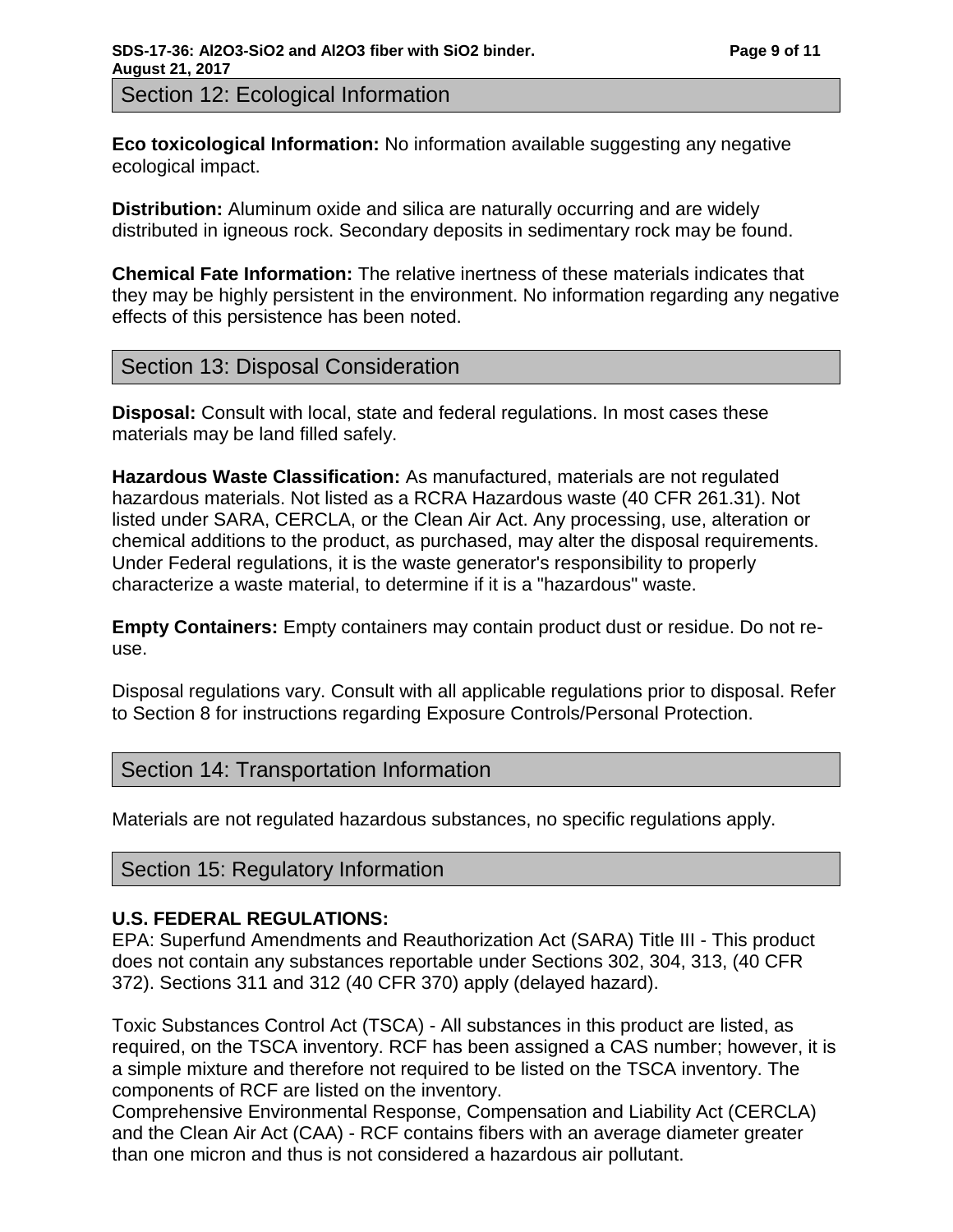Section 12: Ecological Information

**Eco toxicological Information:** No information available suggesting any negative ecological impact.

**Distribution:** Aluminum oxide and silica are naturally occurring and are widely distributed in igneous rock. Secondary deposits in sedimentary rock may be found.

**Chemical Fate Information:** The relative inertness of these materials indicates that they may be highly persistent in the environment. No information regarding any negative effects of this persistence has been noted.

# Section 13: Disposal Consideration

**Disposal:** Consult with local, state and federal regulations. In most cases these materials may be land filled safely.

**Hazardous Waste Classification:** As manufactured, materials are not regulated hazardous materials. Not listed as a RCRA Hazardous waste (40 CFR 261.31). Not listed under SARA, CERCLA, or the Clean Air Act. Any processing, use, alteration or chemical additions to the product, as purchased, may alter the disposal requirements. Under Federal regulations, it is the waste generator's responsibility to properly characterize a waste material, to determine if it is a "hazardous" waste.

**Empty Containers:** Empty containers may contain product dust or residue. Do not reuse.

Disposal regulations vary. Consult with all applicable regulations prior to disposal. Refer to Section 8 for instructions regarding Exposure Controls/Personal Protection.

# Section 14: Transportation Information

Materials are not regulated hazardous substances, no specific regulations apply.

## Section 15: Regulatory Information

## **U.S. FEDERAL REGULATIONS:**

EPA: Superfund Amendments and Reauthorization Act (SARA) Title III - This product does not contain any substances reportable under Sections 302, 304, 313, (40 CFR 372). Sections 311 and 312 (40 CFR 370) apply (delayed hazard).

Toxic Substances Control Act (TSCA) - All substances in this product are listed, as required, on the TSCA inventory. RCF has been assigned a CAS number; however, it is a simple mixture and therefore not required to be listed on the TSCA inventory. The components of RCF are listed on the inventory.

Comprehensive Environmental Response, Compensation and Liability Act (CERCLA) and the Clean Air Act (CAA) - RCF contains fibers with an average diameter greater than one micron and thus is not considered a hazardous air pollutant.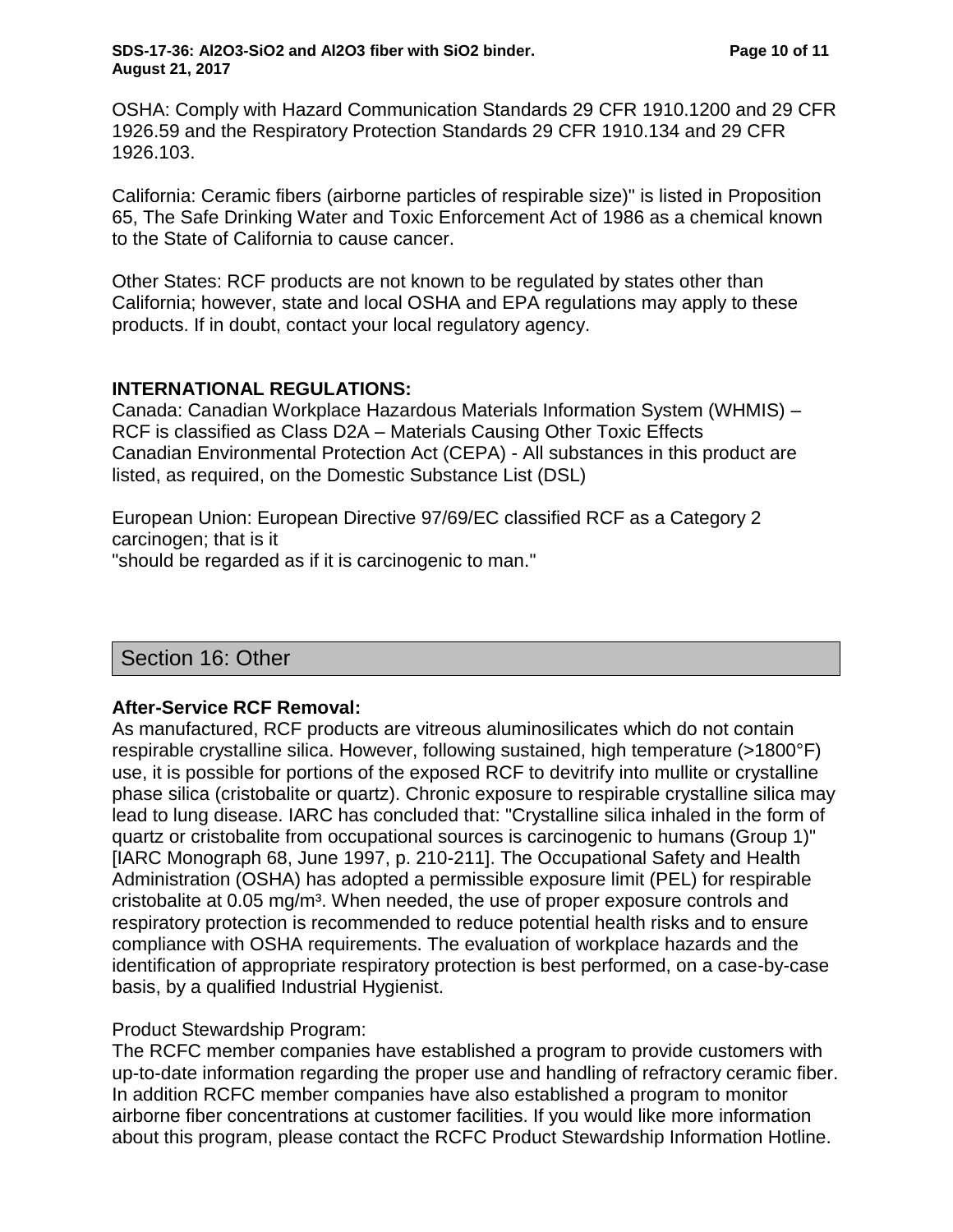OSHA: Comply with Hazard Communication Standards 29 CFR 1910.1200 and 29 CFR 1926.59 and the Respiratory Protection Standards 29 CFR 1910.134 and 29 CFR 1926.103.

California: Ceramic fibers (airborne particles of respirable size)" is listed in Proposition 65, The Safe Drinking Water and Toxic Enforcement Act of 1986 as a chemical known to the State of California to cause cancer.

Other States: RCF products are not known to be regulated by states other than California; however, state and local OSHA and EPA regulations may apply to these products. If in doubt, contact your local regulatory agency.

#### **INTERNATIONAL REGULATIONS:**

Canada: Canadian Workplace Hazardous Materials Information System (WHMIS) – RCF is classified as Class D2A – Materials Causing Other Toxic Effects Canadian Environmental Protection Act (CEPA) - All substances in this product are listed, as required, on the Domestic Substance List (DSL)

European Union: European Directive 97/69/EC classified RCF as a Category 2 carcinogen; that is it "should be regarded as if it is carcinogenic to man."

## Section 16: Other

## **After-Service RCF Removal:**

As manufactured, RCF products are vitreous aluminosilicates which do not contain respirable crystalline silica. However, following sustained, high temperature (>1800°F) use, it is possible for portions of the exposed RCF to devitrify into mullite or crystalline phase silica (cristobalite or quartz). Chronic exposure to respirable crystalline silica may lead to lung disease. IARC has concluded that: "Crystalline silica inhaled in the form of quartz or cristobalite from occupational sources is carcinogenic to humans (Group 1)" [IARC Monograph 68, June 1997, p. 210-211]. The Occupational Safety and Health Administration (OSHA) has adopted a permissible exposure limit (PEL) for respirable cristobalite at 0.05 mg/m<sup>3</sup>. When needed, the use of proper exposure controls and respiratory protection is recommended to reduce potential health risks and to ensure compliance with OSHA requirements. The evaluation of workplace hazards and the identification of appropriate respiratory protection is best performed, on a case-by-case basis, by a qualified Industrial Hygienist.

#### Product Stewardship Program:

The RCFC member companies have established a program to provide customers with up-to-date information regarding the proper use and handling of refractory ceramic fiber. In addition RCFC member companies have also established a program to monitor airborne fiber concentrations at customer facilities. If you would like more information about this program, please contact the RCFC Product Stewardship Information Hotline.